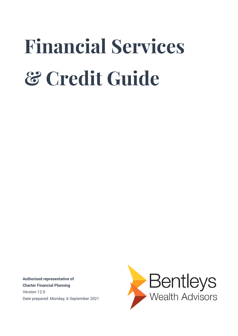# **Financial Services & Credit Guide**

**Authorised representative of Charter Financial Planning** Version 12.0 Date prepared: Monday, 6 September 2021

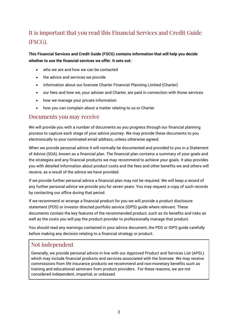#### It is important that you read this Financial Services and Credit Guide (FSCG).

**This Financial Services and Credit Guide (FSCG) contains information that will help you decide whether to use the financial services we offer. It sets out:**

- who we are and how we can be contacted
- the advice and services we provide
- information about our licensee Charter Financial Planning Limited (Charter)
- our fees and how we, your adviser and Charter, are paid in connection with those services
- how we manage your private information
- how you can complain about a matter relating to us or Charter

#### Documents you may receive

We will provide you with a number of documents as you progress through our financial planning process to capture each stage of your advice journey. We may provide these documents to you electronically to your nominated email address, unless otherwise agreed.

When we provide personal advice it will normally be documented and provided to you in a Statement of Advice (SOA), known as a financial plan. The financial plan contains a summary of your goals and the strategies and any financial products we may recommend to achieve your goals. It also provides you with detailed information about product costs and the fees and other benefits we and others will receive, as a result of the advice we have provided.

If we provide further personal advice a financial plan may not be required. We will keep a record of any further personal advice we provide you for seven years. You may request a copy of such records by contacting our office during that period.

If we recommend or arrange a financial product for you we will provide a product disclosure statement (PDS) or investor directed portfolio service (IDPS) guide where relevant. These documents contain the key features of the recommended product, such as its benefits and risks as well as the costs you will pay the product provider to professionally manage that product.

You should read any warnings contained in your advice document, the PDS or IDPS guide carefully before making any decision relating to a financial strategy or product.

#### Not independent

Generally, we provide personal advice in line with our Approved Product and Services List (APSL) which may include financial products and services associated with the licensee. We may receive commissions from life insurance products we recommend and non-monetary benefits such as training and educational seminars from product providers. For these reasons, we are not considered independent, impartial, or unbiased.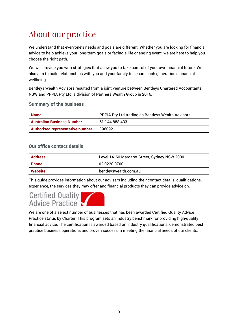# About our practice

We understand that everyone's needs and goals are different. Whether you are looking for financial advice to help achieve your long-term goals or facing a life changing event, we are here to help you choose the right path.

We will provide you with strategies that allow you to take control of your own financial future. We also aim to build relationships with you and your family to secure each generation's financial wellbeing.

Bentleys Wealth Advisors resulted from a joint venture between Bentleys Chartered Accountants NSW and PRPIA Pty Ltd, a division of Partners Wealth Group in 2016.

#### **Summary of the business**

| <b>Name</b>                             | PRPIA Pty Ltd trading as Bentleys Wealth Advisors |  |
|-----------------------------------------|---------------------------------------------------|--|
| <b>Australian Business Number</b>       | 61 144 888 433                                    |  |
| <b>Authorised representative number</b> | 396092                                            |  |

#### **Our office contact details**

| <b>Address</b> | Level 14, 60 Margaret Street, Sydney NSW 2000 |  |
|----------------|-----------------------------------------------|--|
| <b>Phone</b>   | 02 9220 0700                                  |  |
| Website        | bentleyswealth.com.au                         |  |

This guide provides information about our advisers including their contact details, qualifications, experience, the services they may offer and financial products they can provide advice on.

# Certified Quality

We are one of a select number of businesses that has been awarded Certified Quality Advice Practice status by Charter. This program sets an industry benchmark for providing high-quality financial advice. The certification is awarded based on industry qualifications, demonstrated best practice business operations and proven success in meeting the financial needs of our clients.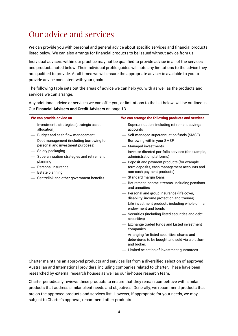## Our advice and services

We can provide you with personal and general advice about specific services and financial products listed below. We can also arrange for financial products to be issued without advice from us.

Individual advisers within our practice may not be qualified to provide advice in all of the services and products noted below. Their individual profile guides will note any limitations to the advice they are qualified to provide. At all times we will ensure the appropriate adviser is available to you to provide advice consistent with your goals.

The following table sets out the areas of advice we can help you with as well as the products and services we can arrange.

Any additional advice or services we can offer you, or limitations to the list below, will be outlined in Our **Financial Advisers and Credit Advisers** on page 13.

| We can provide advice on                                                        | We can arrange the following products and services                                                                       |
|---------------------------------------------------------------------------------|--------------------------------------------------------------------------------------------------------------------------|
| - Investments strategies (strategic asset<br>allocation)                        | - Superannuation, including retirement savings<br>accounts                                                               |
| - Budget and cash flow management                                               | - Self-managed superannuation funds (SMSF)                                                                               |
| - Debt management (including borrowing for<br>personal and investment purposes) | - Borrowing within your SMSF<br>- Managed investments                                                                    |
| - Salary packaging<br>- Superannuation strategies and retirement                | - Investor directed portfolio services (for example,<br>administration platforms)                                        |
| planning<br>- Personal insurance<br>— Estate planning                           | - Deposit and payment products (for example<br>term deposits, cash management accounts and<br>non-cash payment products) |
| Centrelink and other government benefits                                        | - Standard margin loans                                                                                                  |
|                                                                                 | - Retirement income streams, including pensions<br>and annuities                                                         |
|                                                                                 | - Personal and group Insurance (life cover,<br>disability, income protection and trauma)                                 |
|                                                                                 | - Life investment products including whole of life,<br>endowment and bonds                                               |
|                                                                                 | - Securities (including listed securities and debt<br>securities)                                                        |
|                                                                                 | - Exchange traded funds and Listed investment<br>companies                                                               |
|                                                                                 | - Arranging for listed securities, shares and<br>debentures to be bought and sold via a platform<br>and broker.          |
|                                                                                 | - Limited selection of investment guarantees                                                                             |

Charter maintains an approved products and services list from a diversified selection of approved Australian and International providers, including companies related to Charter. These have been researched by external research houses as well as our in-house research team.

Charter periodically reviews these products to ensure that they remain competitive with similar products that address similar client needs and objectives. Generally, we recommend products that are on the approved products and services list. However, if appropriate for your needs, we may, subject to Charter's approval, recommend other products.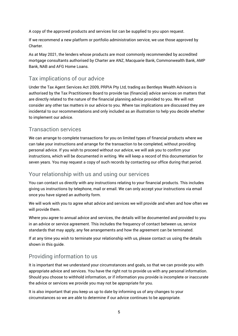A copy of the approved products and services list can be supplied to you upon request.

If we recommend a new platform or portfolio administration service, we use those approved by Charter.

As at May 2021, the lenders whose products are most commonly recommended by accredited mortgage consultants authorised by Charter are ANZ, Macquarie Bank, Commonwealth Bank, AMP Bank, NAB and AFG Home Loans.

#### Tax implications of our advice

Under the Tax Agent Services Act 2009, PRPIA Pty Ltd, trading as Bentleys Wealth Advisors is authorised by the Tax Practitioners Board to provide tax (financial) advice services on matters that are directly related to the nature of the financial planning advice provided to you. We will not consider any other tax matters in our advice to you. Where tax implications are discussed they are incidental to our recommendations and only included as an illustration to help you decide whether to implement our advice.

#### Transaction services

We can arrange to complete transactions for you on limited types of financial products where we can take your instructions and arrange for the transaction to be completed, without providing personal advice. If you wish to proceed without our advice, we will ask you to confirm your instructions, which will be documented in writing. We will keep a record of this documentation for seven years. You may request a copy of such records by contacting our office during that period.

#### Your relationship with us and using our services

You can contact us directly with any instructions relating to your financial products. This includes giving us instructions by telephone, mail or email. We can only accept your instructions via email once you have signed an authority form.

We will work with you to agree what advice and services we will provide and when and how often we will provide them.

Where you agree to annual advice and services, the details will be documented and provided to you in an advice or service agreement. This includes the frequency of contact between us, service standards that may apply, any fee arrangements and how the agreement can be terminated.

If at any time you wish to terminate your relationship with us, please contact us using the details shown in this guide.

#### Providing information to us

It is important that we understand your circumstances and goals, so that we can provide you with appropriate advice and services. You have the right not to provide us with any personal information. Should you choose to withhold information, or if information you provide is incomplete or inaccurate the advice or services we provide you may not be appropriate for you.

It is also important that you keep us up to date by informing us of any changes to your circumstances so we are able to determine if our advice continues to be appropriate.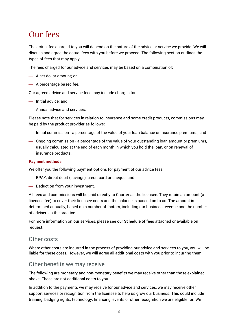### Our fees

The actual fee charged to you will depend on the nature of the advice or service we provide. We will discuss and agree the actual fees with you before we proceed. The following section outlines the types of fees that may apply.

The fees charged for our advice and services may be based on a combination of:

- A set dollar amount; or
- A percentage based fee.

Our agreed advice and service fees may include charges for:

- Initial advice: and
- Annual advice and services.

Please note that for services in relation to insurance and some credit products, commissions may be paid by the product provider as follows:

- $-$  Initial commission a percentage of the value of your loan balance or insurance premiums; and
- Ongoing commission a percentage of the value of your outstanding loan amount or premiums, usually calculated at the end of each month in which you hold the loan, or on renewal of insurance products.

#### **Payment methods**

We offer you the following payment options for payment of our advice fees:

- BPAY, direct debit (savings), credit card or cheque; and
- Deduction from your investment.

All fees and commissions will be paid directly to Charter as the licensee. They retain an amount (a licensee fee) to cover their licensee costs and the balance is passed on to us. The amount is determined annually, based on a number of factors, including our business revenue and the number of advisers in the practice.

For more information on our services, please see our **Schedule of fees** attached or available on request.

#### Other costs

Where other costs are incurred in the process of providing our advice and services to you, you will be liable for these costs. However, we will agree all additional costs with you prior to incurring them.

#### Other benefits we may receive

The following are monetary and non-monetary benefits we may receive other than those explained above. These are not additional costs to you.

In addition to the payments we may receive for our advice and services, we may receive other support services or recognition from the licensee to help us grow our business. This could include training, badging rights, technology, financing, events or other recognition we are eligible for. We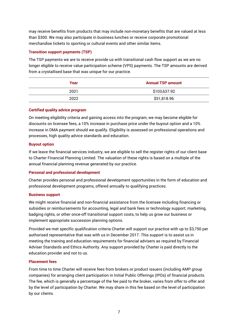may receive benefits from products that may include non-monetary benefits that are valued at less than \$300. We may also participate in business lunches or receive corporate promotional merchandise tickets to sporting or cultural events and other similar items.

#### **Transition support payments (TSP)**

The TSP payments we are to receive provide us with transitional cash flow support as we are no longer eligible to receive value participation scheme (VPS) payments. The TSP amounts are derived from a crystallised base that was unique for our practice.

| Year | <b>Annual TSP amount</b> |  |
|------|--------------------------|--|
| 2021 | \$103,637.92             |  |
| 2022 | \$51,818.96              |  |

#### **Certified quality advice program**

On meeting eligibility criteria and gaining access into the program, we may become eligible for discounts on licensee fees, a 10% increase in purchase price under the buyout option and a 10% increase in DMA payment should we qualify. Eligibility is assessed on professional operations and processes, high quality advice standards and education.

#### **Buyout option**

If we leave the financial services industry, we are eligible to sell the register rights of our client base to Charter Financial Planning Limited. The valuation of these rights is based on a multiple of the annual financial planning revenue generated by our practice.

#### **Personal and professional development**

Charter provides personal and professional development opportunities in the form of education and professional development programs, offered annually to qualifying practices.

#### **Business support**

We might receive financial and non-financial assistance from the licensee including financing or subsidies or reimbursements for accounting, legal and bank fees or technology support; marketing, badging rights, or other once-off transitional support costs, to help us grow our business or implement appropriate succession planning options.

Provided we met specific qualification criteria Charter will support our practice with up to \$3,750 per authorised representative that was with us in December 2017. This support is to assist us in meeting the training and education requirements for financial advisers as required by Financial Adviser Standards and Ethics Authority. Any support provided by Charter is paid directly to the education provider and not to us.

#### **Placement fees**

From time to time Charter will receive fees from brokers or product issuers (including AMP group companies) for arranging client participation in Initial Public Offerings (IPOs) of financial products. The fee, which is generally a percentage of the fee paid to the broker, varies from offer to offer and by the level of participation by Charter. We may share in this fee based on the level of participation by our clients.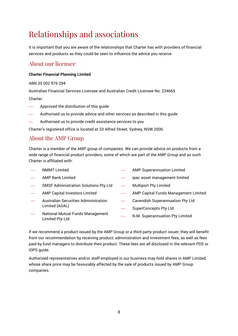# Relationships and associations

It is important that you are aware of the relationships that Charter has with providers of financial services and products as they could be seen to influence the advice you receive.

#### About our licensee

#### **Charter Financial Planning Limited**

ABN 35 002 976 294

Australian Financial Services Licensee and Australian Credit Licensee No: 234665

Charter:

- Approved the distribution of this guide
- Authorised us to provide advice and other services as described in this guide
- Authorised us to provide credit assistance services to you

Charter's registered office is located at 33 Alfred Street, Sydney, NSW 2000.

#### About the AMP Group

Charter is a member of the AMP group of companies. We can provide advice on products from a wide range of financial product providers, some of which are part of the AMP Group and as such Charter is affiliated with:

- NMMT Limited
- AMP Bank Limited
- SMSF Administration Solutions Pty Ltd
- AMP Capital Investors Limited
- Australian Securities Administration Limited (ASAL)
- AMP Superannuation Limited
- ipac asset management limited
- Multiport Pty Limited
- AMP Capital Funds Management Limited
- Cavendish Superannuation Pty Ltd
- SuperConcepts Pty Ltd
- National Mutual Funds Management Limited Pty Ltd
- N.M. Superannuation Pty Limited

If we recommend a product issued by the AMP Group or a third party product issuer, they will benefit from our recommendation by receiving product, administration and investment fees, as well as fees paid by fund managers to distribute their product. These fees are all disclosed in the relevant PDS or IDPS guide.

Authorised representatives and/or staff employed in our business may hold shares in AMP Limited, whose share price may be favourably affected by the sale of products issued by AMP Group companies.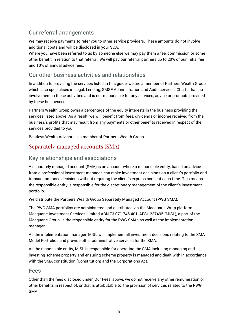#### Our referral arrangements

We may receive payments to refer you to other service providers. These amounts do not involve additional costs and will be disclosed in your SOA.

Where you have been referred to us by someone else we may pay them a fee, commission or some other benefit in relation to that referral. We will pay our referral partners up to 20% of our initial fee and 10% of annual advice fees.

#### Our other business activities and relationships

In addition to providing the services listed in this guide, we are a member of Partners Wealth Group which also specialises in Legal, Lending, SMSF Administration and Audit services. Charter has no involvement in these activities and is not responsible for any services, advice or products provided by these businesses.

Partners Wealth Group owns a percentage of the equity interests in the business providing the services listed above. As a result, we will benefit from fees, dividends or income received from the business's profits that may result from any payments or other benefits received in respect of the services provided to you.

Bentleys Wealth Advisors is a member of Partners Wealth Group.

#### Separately managed accounts (SMA)

#### Key relationships and associations

A separately managed account (SMA) is an account where a responsible entity, based on advice from a professional investment manager, can make investment decisions on a client's portfolio and transact on those decisions without requiring the client's express consent each time. This means the responsible entity is responsible for the discretionary management of the client's investment portfolio.

We distribute the Partners Wealth Group Separately Managed Account (PWG SMA).

The PWG SMA portfolios are administered and distributed via the Macquarie Wrap platform. Macquarie Investment Services Limited ABN 73 071 745 401, AFSL 237495 (MISL), a part of the Macquarie Group, is the responsible entity for the PWG SMAs as well as the implementation manager.

As the implementation manager, MISL will implement all investment decisions relating to the SMA Model Portfolios and provide other administrative services for the SMA.

As the responsible entity, MISL is responsible for operating the SMA including managing and investing scheme property and ensuring scheme property is managed and dealt with in accordance with the SMA constitution (Constitution) and the Corporations Act.

#### Fees

Other than the fees disclosed under 'Our Fees' above, we do not receive any other remuneration or other benefits in respect of, or that is attributable to, the provision of services related to the PWG SMA.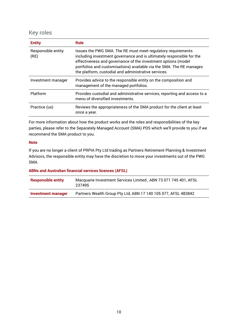#### Key roles

| <b>Entity</b>              | <b>Role</b>                                                                                                                                                                                                                                                                                                                            |
|----------------------------|----------------------------------------------------------------------------------------------------------------------------------------------------------------------------------------------------------------------------------------------------------------------------------------------------------------------------------------|
| Responsible entity<br>(RE) | Issues the PWG SMA. The RE must meet regulatory requirements<br>including investment governance and is ultimately responsible for the<br>effectiveness and governance of the investment options (model<br>portfolios and customisations) available via the SMA. The RE manages<br>the platform, custodial and administrative services. |
| Investment manager         | Provides advice to the responsible entity on the composition and<br>management of the managed portfolios.                                                                                                                                                                                                                              |
| Platform                   | Provides custodial and administrative services, reporting and access to a<br>menu of diversified investments.                                                                                                                                                                                                                          |
| Practice (us)              | Reviews the appropriateness of the SMA product for the client at least<br>once a year.                                                                                                                                                                                                                                                 |

For more information about how the product works and the roles and responsibilities of the key parties, please refer to the Separately Managed Account (SMA) PDS which we'll provide to you if we recommend the SMA product to you.

#### **Note**

If you are no longer a client of PRPIA Pty Ltd trading as Partners Retirement Planning & Investment Advisors, the responsible entity may have the discretion to move your investments out of the PWG SMA.

#### **ABNs and Australian financial services licences (AFSL)**

| <b>Responsible entity</b> | Macquarie Investment Services Limited, ABN 73 071 745 401, AFSL<br>237495 |
|---------------------------|---------------------------------------------------------------------------|
| Investment manager        | Partners Wealth Group Pty Ltd, ABN 17 140 105 077, AFSL 483842            |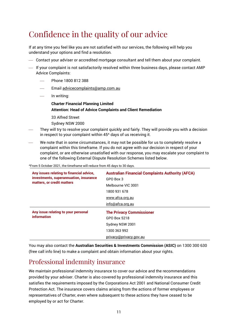# Confidence in the quality of our advice

If at any time you feel like you are not satisfied with our services, the following will help you understand your options and find a resolution.

- Contact your adviser or accredited mortgage consultant and tell them about your complaint.
- $-$  If your complaint is not satisfactorily resolved within three business days, please contact AMP Advice Complaints:
	- Phone 1800 812 388
	- Email [advicecomplaints@amp.com.au](mailto:advicecomplaints@amp.com.au)
	- In writing:
		- **Charter Financial Planning Limited Attention: Head of Advice Complaints and Client Remediation**
		- 33 Alfred Street

Sydney NSW 2000

- They will try to resolve your complaint quickly and fairly. They will provide you with a decision in respect to your complaint within 45<sup>^</sup> days of us receiving it.
- We note that in some circumstances, it may not be possible for us to completely resolve a complaint within this timeframe. If you do not agree with our decision in respect of your complaint, or are otherwise unsatisfied with our response, you may escalate your complaint to one of the following External Dispute Resolution Schemes listed below.

^From 5 October 2021, the timeframe will reduce from 45 days to 30 days.

| Any issues relating to financial advice,<br>investments, superannuation, insurance<br>matters, or credit matters | <b>Australian Financial Complaints Authority (AFCA)</b><br>GPO Box 3 |
|------------------------------------------------------------------------------------------------------------------|----------------------------------------------------------------------|
|                                                                                                                  | Melbourne VIC 3001                                                   |
|                                                                                                                  | 1800 931 678                                                         |
|                                                                                                                  | www.afca.org.au                                                      |
|                                                                                                                  | info@afca.org.au                                                     |
| Any issue relating to your personal                                                                              | <b>The Privacy Commissioner</b>                                      |
| information                                                                                                      | GPO Box 5218                                                         |
|                                                                                                                  | Sydney NSW 2001                                                      |
|                                                                                                                  | 1300 363 992                                                         |
|                                                                                                                  | privacy@privacy.gov.au                                               |

You may also contact the **Australian Securities & Investments Commission (ASIC)** on 1300 300 630 (free call info line) to make a complaint and obtain information about your rights.

#### Professional indemnity insurance

We maintain professional indemnity insurance to cover our advice and the recommendations provided by your adviser. Charter is also covered by professional indemnity insurance and this satisfies the requirements imposed by the Corporations Act 2001 and National Consumer Credit Protection Act. The insurance covers claims arising from the actions of former employees or representatives of Charter, even where subsequent to these actions they have ceased to be employed by or act for Charter.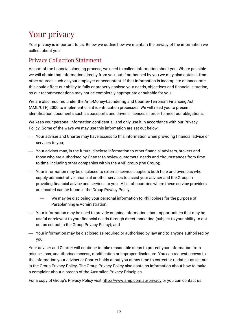# Your privacy

Your privacy is important to us. Below we outline how we maintain the privacy of the information we collect about you.

#### Privacy Collection Statement

As part of the financial planning process, we need to collect information about you. Where possible we will obtain that information directly from you, but if authorised by you we may also obtain it from other sources such as your employer or accountant. If that information is incomplete or inaccurate, this could affect our ability to fully or properly analyse your needs, objectives and financial situation, so our recommendations may not be completely appropriate or suitable for you.

We are also required under the Anti-Money-Laundering and Counter-Terrorism Financing Act (AML/CTF) 2006 to implement client identification processes. We will need you to present identification documents such as passports and driver's licences in order to meet our obligations.

We keep your personal information confidential, and only use it in accordance with our Privacy Policy. Some of the ways we may use this information are set out below:

- Your adviser and Charter may have access to this information when providing financial advice or services to you;
- Your adviser may, in the future, disclose information to other financial advisers, brokers and those who are authorised by Charter to review customers' needs and circumstances from time to time, including other companies within the AMP group (the Group);
- Your information may be disclosed to external service suppliers both here and overseas who supply administrative, financial or other services to assist your adviser and the Group in providing financial advice and services to you. A list of countries where these service providers are located can be found in the Group Privacy Policy;
	- We may be disclosing your personal information to Philippines for the purpose of Paraplanning & Administration.
- Your information may be used to provide ongoing information about opportunities that may be useful or relevant to your financial needs through direct marketing (subject to your ability to optout as set out in the Group Privacy Policy); and
- Your information may be disclosed as required or authorised by law and to anyone authorised by you.

Your adviser and Charter will continue to take reasonable steps to protect your information from misuse, loss, unauthorised access, modification or improper disclosure. You can request access to the information your adviser or Charter holds about you at any time to correct or update it as set out in the Group Privacy Policy. The Group Privacy Policy also contains information about how to make a complaint about a breach of the Australian Privacy Principles.

For a copy of Group's Privacy Policy visit<http://www.amp.com.au/privacy> or you can contact us.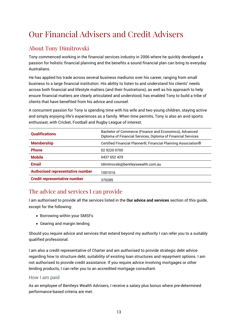# Our Financial Advisers and Credit Advisers

#### About Tony Dimitrovski

Tony commenced working in the financial services industry in 2006 where he quickly developed a passion for holistic financial planning and the benefits a sound financial plan can bring to everyday Australians.

He has applied his trade across several business mediums over his career, ranging from small business to a large financial institution. His ability to listen to and understand his clients' needs across both financial and lifestyle matters (and their frustrations), as well as his approach to help ensure financial matters are clearly articulated and understood, has enabled Tony to build a tribe of clients that have benefited from his advice and counsel.

A concurrent passion for Tony is spending time with his wife and two young children, staying active and simply enjoying life's experiences as a family. When time permits, Tony is also an avid sports enthusiast, with Cricket, Football and Rugby League of interest.

| <b>Qualifications</b>                   | Bachelor of Commerce (Finance and Economics), Advanced<br>Diploma of Financial Services, Diploma of Financial Services |  |
|-----------------------------------------|------------------------------------------------------------------------------------------------------------------------|--|
| <b>Membership</b>                       | Certified Financial Planner®, Financial Planning Association®                                                          |  |
| <b>Phone</b>                            | 02 9220 0700                                                                                                           |  |
| <b>Mobile</b>                           | 0437 652 429                                                                                                           |  |
| <b>Email</b>                            | tdimitrovski@bentleyswealth.com.au                                                                                     |  |
| <b>Authorised representative number</b> | 1001016                                                                                                                |  |
| <b>Credit representative number</b>     | 370285                                                                                                                 |  |

#### The advice and services I can provide

I am authorised to provide all the services listed in the **Our advice and services** section of this guide, except for the following:

- Borrowing within your SMSFs
- Gearing and margin lending

Should you require advice and services that extend beyond my authority I can refer you to a suitably qualified professional.

I am also a credit representative of Charter and am authorised to provide strategic debt advice regarding how to structure debt, suitability of existing loan structures and repayment options. I am not authorised to provide credit assistance. If you require advice involving mortgages or other lending products, I can refer you to an accredited mortgage consultant.

#### How I am paid

As an employee of Bentleys Wealth Advisers, I receive a salary plus bonus where pre-determined performance-based criteria are met.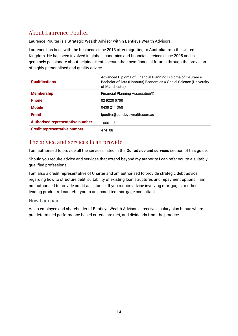#### About Laurence Poulter

Laurence Poulter is a Strategic Wealth Advisor within Bentleys Wealth Advisors.

Laurence has been with the business since 2013 after migrating to Australia from the United Kingdom. He has been involved in global economics and financial services since 2005 and is genuinely passionate about helping clients secure their own financial futures through the provision of highly personalised and quality advice.

| <b>Qualifications</b>                   | Advanced Diploma of Financial Planning Diploma of Insurance,<br>Bachelor of Arts (Honours) Economics & Social Science (University<br>of Manchester) |
|-----------------------------------------|-----------------------------------------------------------------------------------------------------------------------------------------------------|
| <b>Membership</b>                       | Financial Planning Association®                                                                                                                     |
| <b>Phone</b>                            | 02 9220 0700                                                                                                                                        |
| <b>Mobile</b>                           | 0439 211 368                                                                                                                                        |
| <b>Email</b>                            | lpoulter@bentleyswealth.com.au                                                                                                                      |
| <b>Authorised representative number</b> | 1000112                                                                                                                                             |
| <b>Credit representative number</b>     | 474108                                                                                                                                              |

#### The advice and services I can provide

I am authorised to provide all the services listed in the **Our advice and services** section of this guide.

Should you require advice and services that extend beyond my authority I can refer you to a suitably qualified professional.

I am also a credit representative of Charter and am authorised to provide strategic debt advice regarding how to structure debt, suitability of existing loan structures and repayment options. I am not authorised to provide credit assistance. If you require advice involving mortgages or other lending products, I can refer you to an accredited mortgage consultant.

#### How I am paid

As an employee and shareholder of Bentleys Wealth Advisors, I receive a salary plus bonus where pre-determined performance-based criteria are met, and dividends from the practice.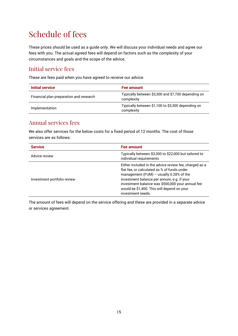# Schedule of fees

These prices should be used as a guide only. We will discuss your individual needs and agree our fees with you. The actual agreed fees will depend on factors such as the complexity of your circumstances and goals and the scope of the advice.

#### Initial service fees

These are fees paid when you have agreed to receive our advice:

| Initial service                         | Fee amount                                                       |
|-----------------------------------------|------------------------------------------------------------------|
| Financial plan preparation and research | Typically between \$3,300 and \$7,700 depending on<br>complexity |
| Implementation                          | Typically between \$1,100 to \$3,300 depending on<br>complexity  |

#### Annual services fees

We also offer services for the below costs for a fixed period of 12 months. The cost of those services are as follows:

| <b>Service</b>              | Fee amount                                                                                                                                                                                                                                                                                                              |
|-----------------------------|-------------------------------------------------------------------------------------------------------------------------------------------------------------------------------------------------------------------------------------------------------------------------------------------------------------------------|
| Advice review               | Typically between \$3,300 to \$22,000 but tailored to<br>individual requirements                                                                                                                                                                                                                                        |
| Investment portfolio review | Either included in the advice review fee, charged as a<br>flat fee, or calculated as % of funds under<br>management (FUM) $-$ usually 0.28% of the<br>investment balance per annum, e.g. if your<br>investment balance was \$500,000 your annual fee<br>would be \$1,400. This will depend on your<br>investment needs. |

The amount of fees will depend on the service offering and these are provided in a separate advice or services agreement.